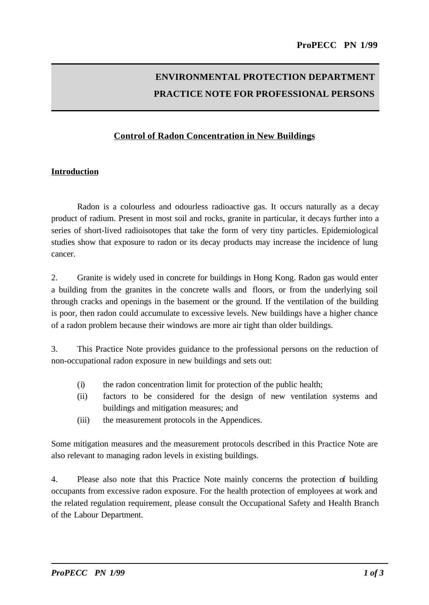# **ENVIRONMENTAL PROTECTION DEPARTMENT PRACTICE NOTE FOR PROFESSIONAL PERSONS**

## **Control of Radon Concentration in New Buildings**

## **Introduction**

Radon is a colourless and odourless radioactive gas. It occurs naturally as a decay product of radium. Present in most soil and rocks, granite in particular, it decays further into a series of short-lived radioisotopes that take the form of very tiny particles. Epidemiological studies show that exposure to radon or its decay products may increase the incidence of lung cancer.

2. Granite is widely used in concrete for buildings in Hong Kong. Radon gas would enter a building from the granites in the concrete walls and floors, or from the underlying soil through cracks and openings in the basement or the ground. If the ventilation of the building is poor, then radon could accumulate to excessive levels. New buildings have a higher chance of a radon problem because their windows are more air tight than older buildings.

3. This Practice Note provides guidance to the professional persons on the reduction of non-occupational radon exposure in new buildings and sets out:

- (i) the radon concentration limit for protection of the public health;
- (ii) factors to be considered for the design of new ventilation systems and buildings and mitigation measures; and
- (iii) the measurement protocols in the Appendices.

Some mitigation measures and the measurement protocols described in this Practice Note are also relevant to managing radon levels in existing buildings.

4. Please also note that this Practice Note mainly concerns the protection of building occupants from excessive radon exposure. For the health protection of employees at work and the related regulation requirement, please consult the Occupational Safety and Health Branch of the Labour Department.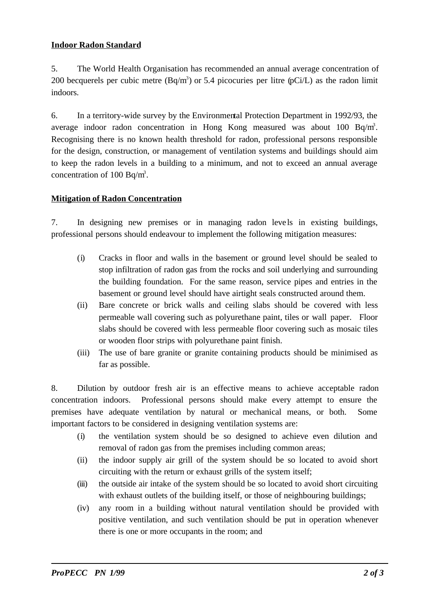## **Indoor Radon Standard**

5. The World Health Organisation has recommended an annual average concentration of 200 becquerels per cubic metre  $(Bq/m<sup>3</sup>)$  or 5.4 picocuries per litre  $(pCi/L)$  as the radon limit indoors.

6. In a territory-wide survey by the Environmental Protection Department in 1992/93, the average indoor radon concentration in Hong Kong measured was about  $100$  Bq/m<sup>3</sup>. Recognising there is no known health threshold for radon, professional persons responsible for the design, construction, or management of ventilation systems and buildings should aim to keep the radon levels in a building to a minimum, and not to exceed an annual average concentration of 100 Bq/m<sup>3</sup>.

## **Mitigation of Radon Concentration**

7. In designing new premises or in managing radon leve ls in existing buildings, professional persons should endeavour to implement the following mitigation measures:

- (i) Cracks in floor and walls in the basement or ground level should be sealed to stop infiltration of radon gas from the rocks and soil underlying and surrounding the building foundation. For the same reason, service pipes and entries in the basement or ground level should have airtight seals constructed around them.
- (ii) Bare concrete or brick walls and ceiling slabs should be covered with less permeable wall covering such as polyurethane paint, tiles or wall paper. Floor slabs should be covered with less permeable floor covering such as mosaic tiles or wooden floor strips with polyurethane paint finish.
- (iii) The use of bare granite or granite containing products should be minimised as far as possible.

8. Dilution by outdoor fresh air is an effective means to achieve acceptable radon concentration indoors. Professional persons should make every attempt to ensure the premises have adequate ventilation by natural or mechanical means, or both. Some important factors to be considered in designing ventilation systems are:

- (i) the ventilation system should be so designed to achieve even dilution and removal of radon gas from the premises including common areas;
- (ii) the indoor supply air grill of the system should be so located to avoid short circuiting with the return or exhaust grills of the system itself;
- (iii) the outside air intake of the system should be so located to avoid short circuiting with exhaust outlets of the building itself, or those of neighbouring buildings;
- (iv) any room in a building without natural ventilation should be provided with positive ventilation, and such ventilation should be put in operation whenever there is one or more occupants in the room; and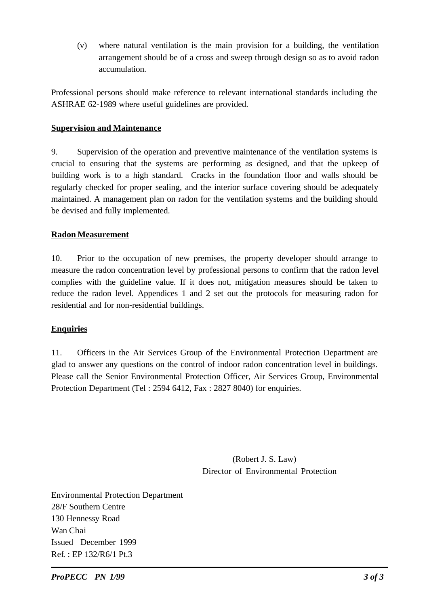(v) where natural ventilation is the main provision for a building, the ventilation arrangement should be of a cross and sweep through design so as to avoid radon accumulation.

Professional persons should make reference to relevant international standards including the ASHRAE 62-1989 where useful guidelines are provided.

## **Supervision and Maintenance**

9. Supervision of the operation and preventive maintenance of the ventilation systems is crucial to ensuring that the systems are performing as designed, and that the upkeep of building work is to a high standard. Cracks in the foundation floor and walls should be regularly checked for proper sealing, and the interior surface covering should be adequately maintained. A management plan on radon for the ventilation systems and the building should be devised and fully implemented.

## **Radon Measurement**

10. Prior to the occupation of new premises, the property developer should arrange to measure the radon concentration level by professional persons to confirm that the radon level complies with the guideline value. If it does not, mitigation measures should be taken to reduce the radon level. Appendices 1 and 2 set out the protocols for measuring radon for residential and for non-residential buildings.

## **Enquiries**

11. Officers in the Air Services Group of the Environmental Protection Department are glad to answer any questions on the control of indoor radon concentration level in buildings. Please call the Senior Environmental Protection Officer, Air Services Group, Environmental Protection Department (Tel : 2594 6412, Fax : 2827 8040) for enquiries.

> (Robert J. S. Law) Director of Environmental Protection

Environmental Protection Department 28/F Southern Centre 130 Hennessy Road Wan Chai Issued December 1999 Ref. : EP 132/R6/1 Pt.3

*ProPECC PN 1/99 3 of 3*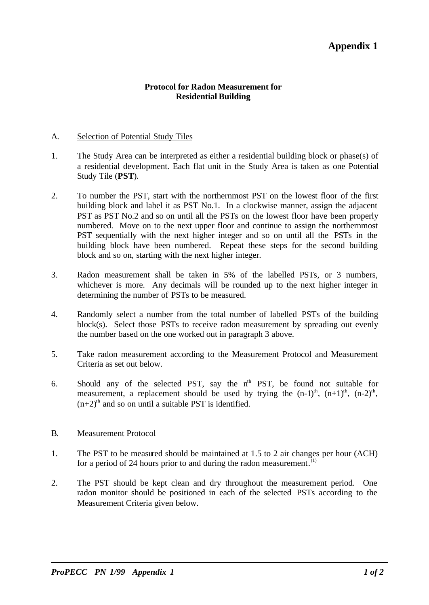## **Appendix 1**

#### **Protocol for Radon Measurement for Residential Building**

#### A. Selection of Potential Study Tiles

- 1. The Study Area can be interpreted as either a residential building block or phase(s) of a residential development. Each flat unit in the Study Area is taken as one Potential Study Tile (**PST**).
- 2. To number the PST, start with the northernmost PST on the lowest floor of the first building block and label it as PST No.1. In a clockwise manner, assign the adjacent PST as PST No.2 and so on until all the PSTs on the lowest floor have been properly numbered. Move on to the next upper floor and continue to assign the northernmost PST sequentially with the next higher integer and so on until all the PSTs in the building block have been numbered. Repeat these steps for the second building block and so on, starting with the next higher integer.
- 3. Radon measurement shall be taken in 5% of the labelled PSTs, or 3 numbers, whichever is more. Any decimals will be rounded up to the next higher integer in determining the number of PSTs to be measured.
- 4. Randomly select a number from the total number of labelled PSTs of the building block(s). Select those PSTs to receive radon measurement by spreading out evenly the number based on the one worked out in paragraph 3 above.
- 5. Take radon measurement according to the Measurement Protocol and Measurement Criteria as set out below.
- 6. Should any of the selected PST, say the  $n<sup>th</sup>$  PST, be found not suitable for measurement, a replacement should be used by trying the  $(n-1)$ <sup>th</sup>,  $(n+1)$ <sup>th</sup>,  $(n-2)$ <sup>th</sup>,  $(n+2)$ <sup>th</sup> and so on until a suitable PST is identified.

#### B. Measurement Protocol

- 1. The PST to be measured should be maintained at 1.5 to 2 air changes per hour (ACH) for a period of 24 hours prior to and during the radon measurement. $(1)$
- 2. The PST should be kept clean and dry throughout the measurement period. One radon monitor should be positioned in each of the selected PSTs according to the Measurement Criteria given below.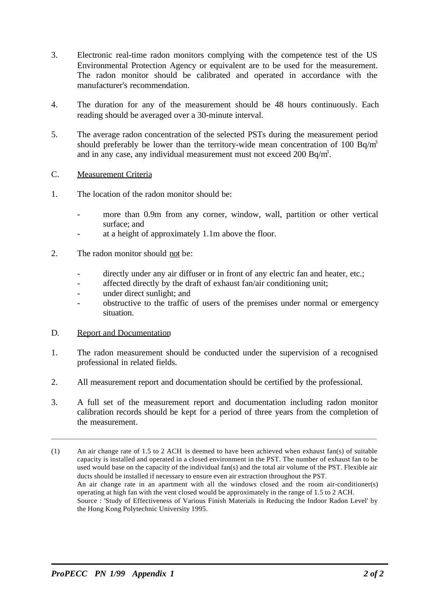- 3. Electronic real-time radon monitors complying with the competence test of the US Environmental Protection Agency or equivalent are to be used for the measurement. The radon monitor should be calibrated and operated in accordance with the manufacturer's recommendation.
- 4. The duration for any of the measurement should be 48 hours continuously. Each reading should be averaged over a 30-minute interval.
- 5. The average radon concentration of the selected PSTs during the measurement period should preferably be lower than the territory-wide mean concentration of 100 Bq/m<sup>3</sup> and in any case, any individual measurement must not exceed  $200$  Bq/m<sup>3</sup>.

#### C. Measurement Criteria

- 1. The location of the radon monitor should be:
	- more than 0.9m from any corner, window, wall, partition or other vertical surface; and
	- at a height of approximately 1.1m above the floor.
- 2. The radon monitor should not be:
	- directly under any air diffuser or in front of any electric fan and heater, etc.;
	- affected directly by the draft of exhaust fan/air conditioning unit;
	- under direct sunlight; and
	- obstructive to the traffic of users of the premises under normal or emergency situation.

#### D. Report and Documentation

- 1. The radon measurement should be conducted under the supervision of a recognised professional in related fields.
- 2. All measurement report and documentation should be certified by the professional.
- 3. A full set of the measurement report and documentation including radon monitor calibration records should be kept for a period of three years from the completion of the measurement.

\_\_\_\_\_\_\_\_\_\_\_\_\_\_\_\_\_\_\_\_\_\_\_\_\_\_\_\_\_\_\_\_\_\_\_\_\_\_\_\_\_\_\_\_\_\_\_\_\_\_\_\_\_\_\_\_\_\_\_\_\_\_\_\_\_\_\_\_\_\_\_\_\_\_\_\_\_\_\_\_\_\_\_\_\_\_\_\_\_\_\_\_\_\_\_\_\_\_\_\_\_\_\_\_\_\_\_\_\_\_\_\_\_

<sup>(1)</sup> An air change rate of 1.5 to 2 ACH is deemed to have been achieved when exhaust fan(s) of suitable capacity is installed and operated in a closed environment in the PST. The number of exhaust fan to be used would base on the capacity of the individual fan(s) and the total air volume of the PST. Flexible air ducts should be installed if necessary to ensure even air extraction throughout the PST. An air change rate in an apartment with all the windows closed and the room air-conditioner(s) operating at high fan with the vent closed would be approximately in the range of 1.5 to 2 ACH. Source : 'Study of Effectiveness of Various Finish Materials in Reducing the Indoor Radon Level' by the Hong Kong Polytechnic University 1995.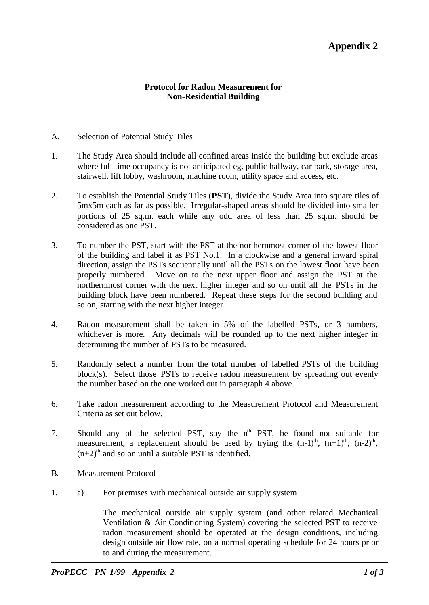## **Appendix 2**

#### **Protocol for Radon Measurement for Non-Residential Building**

#### A. Selection of Potential Study Tiles

- 1. The Study Area should include all confined areas inside the building but exclude areas where full-time occupancy is not anticipated eg. public hallway, car park, storage area, stairwell, lift lobby, washroom, machine room, utility space and access, etc.
- 2. To establish the Potential Study Tiles (**PST**), divide the Study Area into square tiles of 5mx5m each as far as possible. Irregular-shaped areas should be divided into smaller portions of 25 sq.m. each while any odd area of less than 25 sq.m. should be considered as one PST.
- 3. To number the PST, start with the PST at the northernmost corner of the lowest floor of the building and label it as PST No.1. In a clockwise and a general inward spiral direction, assign the PSTs sequentially until all the PSTs on the lowest floor have been properly numbered. Move on to the next upper floor and assign the PST at the northernmost corner with the next higher integer and so on until all the PSTs in the building block have been numbered. Repeat these steps for the second building and so on, starting with the next higher integer.
- 4. Radon measurement shall be taken in 5% of the labelled PSTs, or 3 numbers, whichever is more. Any decimals will be rounded up to the next higher integer in determining the number of PSTs to be measured.
- 5. Randomly select a number from the total number of labelled PSTs of the building block(s). Select those PSTs to receive radon measurement by spreading out evenly the number based on the one worked out in paragraph 4 above.
- 6. Take radon measurement according to the Measurement Protocol and Measurement Criteria as set out below.
- 7. Should any of the selected PST, say the  $n<sup>th</sup>$  PST, be found not suitable for measurement, a replacement should be used by trying the  $(n-1)$ <sup>th</sup>,  $(n+1)$ <sup>th</sup>,  $(n-2)$ <sup>th</sup>,  $(n+2)$ <sup>th</sup> and so on until a suitable PST is identified.
- B. Measurement Protocol
- 1. a) For premises with mechanical outside air supply system

The mechanical outside air supply system (and other related Mechanical Ventilation & Air Conditioning System) covering the selected PST to receive radon measurement should be operated at the design conditions, including design outside air flow rate, on a normal operating schedule for 24 hours prior to and during the measurement.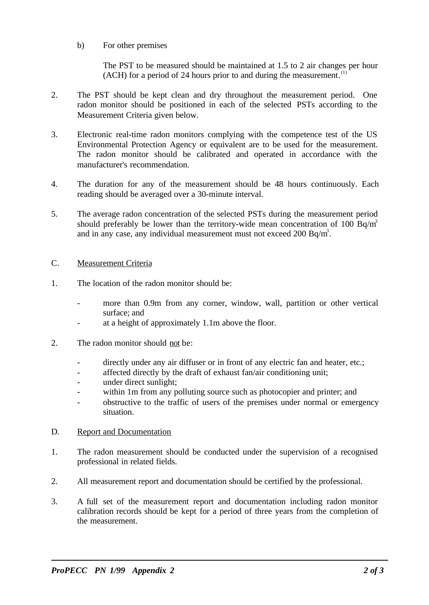b) For other premises

The PST to be measured should be maintained at 1.5 to 2 air changes per hour  $(ACH)$  for a period of 24 hours prior to and during the measurement.<sup>(1)</sup>

- 2. The PST should be kept clean and dry throughout the measurement period. One radon monitor should be positioned in each of the selected PSTs according to the Measurement Criteria given below.
- 3. Electronic real-time radon monitors complying with the competence test of the US Environmental Protection Agency or equivalent are to be used for the measurement. The radon monitor should be calibrated and operated in accordance with the manufacturer's recommendation.
- 4. The duration for any of the measurement should be 48 hours continuously. Each reading should be averaged over a 30-minute interval.
- 5. The average radon concentration of the selected PSTs during the measurement period should preferably be lower than the territory-wide mean concentration of 100 Bq/m<sup>3</sup> and in any case, any individual measurement must not exceed  $200$  Bq/m<sup>3</sup>.

#### C. Measurement Criteria

- 1. The location of the radon monitor should be:
	- more than 0.9m from any corner, window, wall, partition or other vertical surface; and
	- at a height of approximately 1.1m above the floor.
- 2. The radon monitor should not be:
	- directly under any air diffuser or in front of any electric fan and heater, etc.;
	- affected directly by the draft of exhaust fan/air conditioning unit;
	- under direct sunlight;
	- within 1m from any polluting source such as photocopier and printer; and
	- obstructive to the traffic of users of the premises under normal or emergency situation.

#### D. Report and Documentation

- 1. The radon measurement should be conducted under the supervision of a recognised professional in related fields.
- 2. All measurement report and documentation should be certified by the professional.
- 3. A full set of the measurement report and documentation including radon monitor calibration records should be kept for a period of three years from the completion of the measurement.